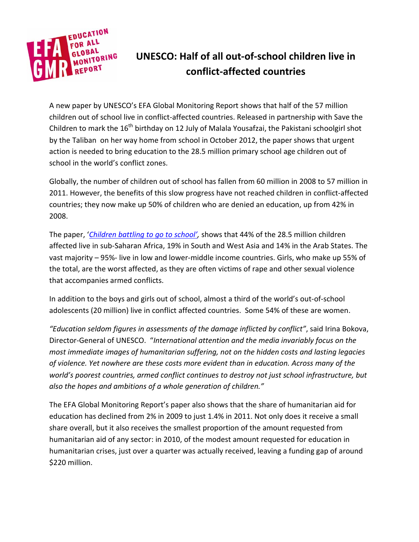

## **UNESCO: Half of all out-of-school children live in conflict-affected countries**

A new paper by UNESCO's EFA Global Monitoring Report shows that half of the 57 million children out of school live in conflict-affected countries. Released in partnership with Save the Children to mark the  $16^{th}$  birthday on 12 July of Malala Yousafzai, the Pakistani schoolgirl shot by the Taliban on her way home from school in October 2012, the paper shows that urgent action is needed to bring education to the 28.5 million primary school age children out of school in the world's conflict zones.

Globally, the number of children out of school has fallen from 60 million in 2008 to 57 million in 2011. However, the benefits of this slow progress have not reached children in conflict-affected countries; they now make up 50% of children who are denied an education, up from 42% in 2008.

The paper, '*[Children battling to go to school',](http://www.unesco.org/new/en/education/themes/leading-the-international-agenda/efareport/policy-papers/)* shows that 44% of the 28.5 million children affected live in sub-Saharan Africa, 19% in South and West Asia and 14% in the Arab States. The vast majority – 95%- live in low and lower-middle income countries. Girls, who make up 55% of the total, are the worst affected, as they are often victims of rape and other sexual violence that accompanies armed conflicts.

In addition to the boys and girls out of school, almost a third of the world's out-of-school adolescents (20 million) live in conflict affected countries. Some 54% of these are women.

*"Education seldom figures in assessments of the damage inflicted by conflict"*, said Irina Bokova, Director-General of UNESCO. "*International attention and the media invariably focus on the most immediate images of humanitarian suffering, not on the hidden costs and lasting legacies of violence. Yet nowhere are these costs more evident than in education. Across many of the world's poorest countries, armed conflict continues to destroy not just school infrastructure, but also the hopes and ambitions of a whole generation of children."*

The EFA Global Monitoring Report's paper also shows that the share of humanitarian aid for education has declined from 2% in 2009 to just 1.4% in 2011. Not only does it receive a small share overall, but it also receives the smallest proportion of the amount requested from humanitarian aid of any sector: in 2010, of the modest amount requested for education in humanitarian crises, just over a quarter was actually received, leaving a funding gap of around \$220 million.